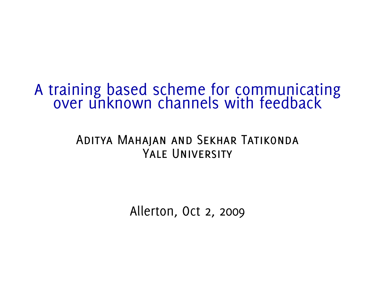# A training based scheme for communicating over unknown channels with feedback

#### Aditya Mahajan and Sekhar Tatikonda YALE UNIVERSITY

Allerton, Oct 2, 2009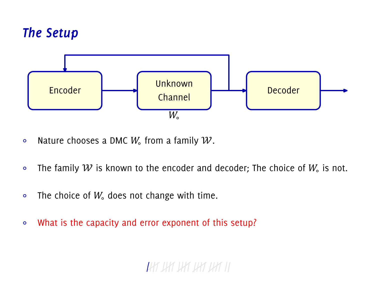# *The Setup*



- $\circ$  Nature chooses a DMC  $W_{\circ}$  from a family  ${\mathcal W}.$
- ∘ The family  $W$  is known to the encoder and decoder; The choice of  $W_{\circ}$  is not.
- The choice of  $W_0$  does not change with time.
- ∘ What is the capacity and error exponent of this setup?

# TAY UY UY UY UY I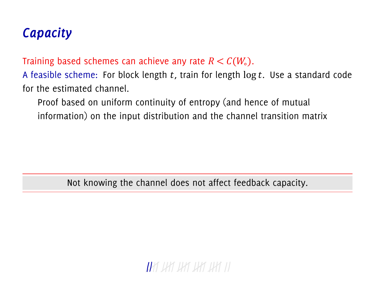# *Capacity*

Training based schemes can achieve any rate  $R < C(W_0)$ .

A feasible scheme: For block length  $t$ , train for length  $\log t$ . Use a standard code for the estimated channel.

Proof based on uniform continuity of entropy (and hence of mutual information) on the input distribution and the channel transition matrix

Not knowing the channel does not affect feedback capacity.

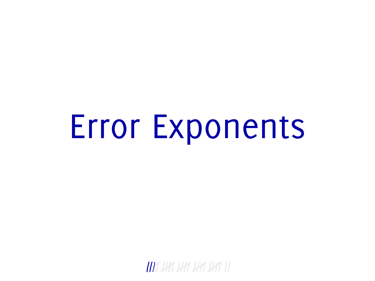# Error Exponents

IAY IAY IAY IAY IAY II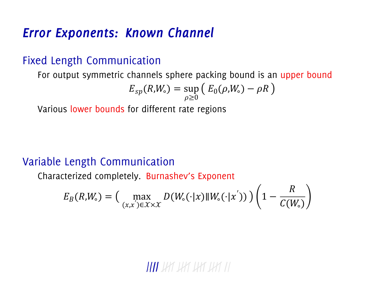#### *Error Exponents: Known Channel*

#### Fixed Length Communication

For output symmetric channels sphere packing bound is an upper bound

$$
E_{sp}(R,W_{\circ})=\sup_{\rho\geq 0}\left(E_{0}(\rho,W_{\circ})-\rho R\right)
$$

Various lower bounds for different rate regions

#### Variable Length Communication

Characterized completely. Burnashev's Exponent

$$
E_B(R,W_\circ) = \Big(\max_{(x,x')\in\mathcal{X}\times\mathcal{X}} D(W_\circ(\cdot|x)\|W_\circ(\cdot|x'))\Big)\Big(1-\frac{R}{C(W_\circ)}\Big)
$$

#### **UAT** UAT UAT UAT III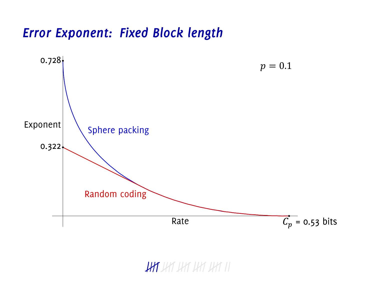#### *Error Exponent: Fixed Block length*



#### HAT JHT JHT JHT III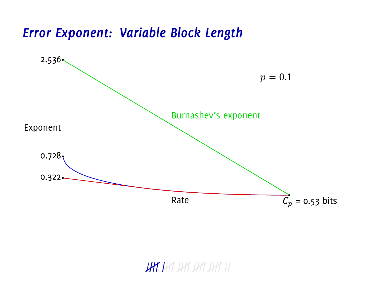#### *Error Exponent: Variable Block Length*



### HAY HAY HAY HAY II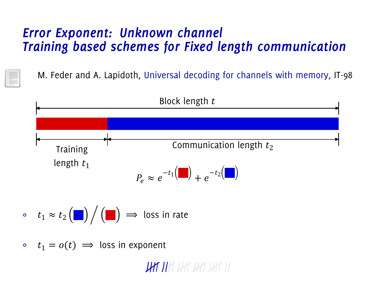#### *Error Exponent: Unknown channel Training based schemes for Fixed length communication*

M. Feder and A. Lapidoth, Universal decoding for channels with memory, IT-98



•  $t_1 = o(t) \implies$  loss in exponent

**UHT U**HT UHT UHT IHT II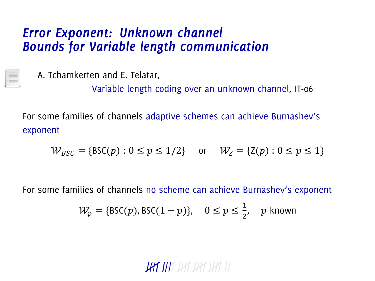#### *Error Exponent: Unknown channel Bounds for Variable length communication*

A. Tchamkerten and E. Telatar,

Variable length coding over an unknown channel, IT-06

For some families of channels adaptive schemes can achieve Burnashev's exponent

$$
\mathcal{W}_{BSC} = \{ \text{BSC}(p) : 0 \le p \le 1/2 \} \quad \text{or} \quad \mathcal{W}_Z = \{ \text{Z}(p) : 0 \le p \le 1 \}
$$

For some families of channels no scheme can achieve Burnashev's exponent

$$
\mathcal{W}_p = \{ \text{BSC}(p), \text{BSC}(1-p) \}, \quad 0 \le p \le \frac{1}{2}, \quad p \text{ known}
$$

# **LAT IA**T UAT LAT UAT II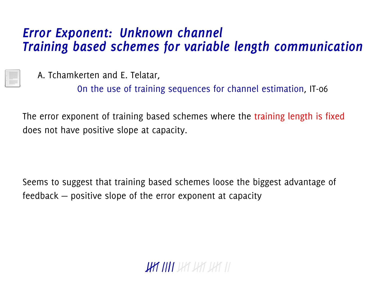#### *Error Exponent: Unknown channel Training based schemes for variable length communication*

A. Tchamkerten and E. Telatar,

On the use of training sequences for channel estimation, IT-06

The error exponent of training based schemes where the training length is fixed does not have positive slope at capacity.

Seems to suggest that training based schemes loose the biggest advantage of feedback — positive slope of the error exponent at capacity

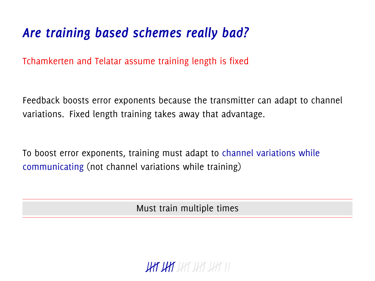# *Are training based schemes really bad?*

Tchamkerten and Telatar assume training length is fixed

Feedback boosts error exponents because the transmitter can adapt to channel variations. Fixed length training takes away that advantage.

To boost error exponents, training must adapt to channel variations while communicating (not channel variations while training)

Must train multiple times

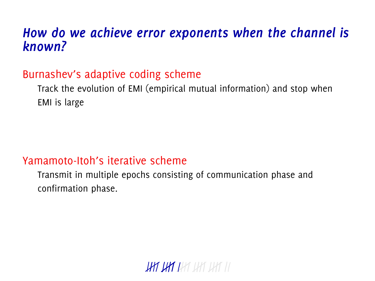#### *How do we achieve error exponents when the channel is known?*

#### Burnashev's adaptive coding scheme

Track the evolution of EMI (empirical mutual information) and stop when EMI is large

#### Yamamoto-Itoh's iterative scheme

Transmit in multiple epochs consisting of communication phase and confirmation phase.

**UHT UHT** UHT UHT III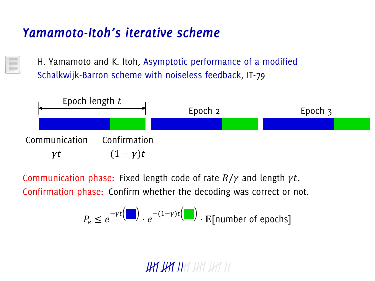### *Yamamoto-Itoh's iterative scheme*

H. Yamamoto and K. Itoh, Asymptotic performance of a modified Schalkwijk-Barron scheme with noiseless feedback, IT-79



Communication phase: Fixed length code of rate  $R/\gamma$  and length  $\gamma t$ . Confirmation phase: Confirm whether the decoding was correct or not.

$$
P_e \leq e^{-\gamma t} \Big( \blacksquare \Big) \cdot e^{-(1-\gamma)t} \Big( \blacksquare \Big) \cdot \mathbb{E} \big[ \text{number of epochs} \big]
$$

**UAT UAT I**AT UAT UAT II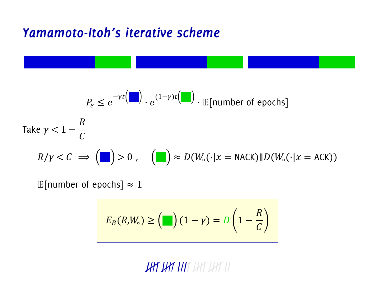#### Yamamoto-Itoh's iterative scheme

$$
P_e \le e^{-\gamma t} \left( \blacksquare \right) \cdot e^{(1-\gamma)t} \left( \blacksquare \right) \cdot \mathbb{E} \left[ \text{number of epochs} \right]
$$
\nTake  $\gamma < 1 - \frac{R}{C}$ 

\n
$$
R/\gamma < C \implies \left( \blacksquare \right) > 0 \,, \quad \left( \blacksquare \right) \approx D(W_e(\cdot | x = \text{NACK}) \parallel D(W_e(\cdot | x = \text{ACK}))
$$

E[number of epochs]  $\approx 1$ 

$$
E_B(R,W_\circ) \geq \left(\blacksquare\right) (1-\gamma) = D\left(1-\frac{R}{C}\right)
$$

**HAT HAT HAT** HAT HAT II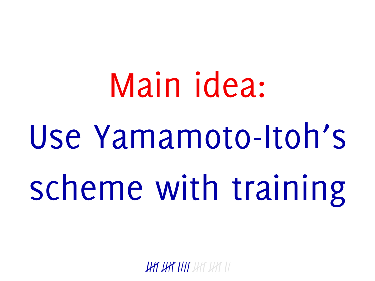# Main idea: Use Yamamoto-Itoh's scheme with training

**UAT UAT TAT** DAT DAT TI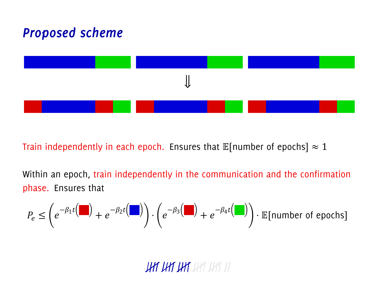# **Proposed scheme**



Train independently in each epoch. Ensures that  $\mathbb{E}$ [number of epochs]  $\approx 1$ 

Within an epoch, train independently in the communication and the confirmation phase. Ensures that

$$
P_e \leq \left(e^{-\beta_1 t} \left(\frac{1}{\epsilon}\right) + e^{-\beta_2 t} \left(\frac{1}{\epsilon}\right)\right) \cdot \left(e^{-\beta_3 \left(\frac{1}{\epsilon}\right)} + e^{-\beta_4 t} \left(\frac{1}{\epsilon}\right)\right) \cdot \mathbb{E}[\text{number of epochs}]
$$

**UHT UHT UHT** UHT UHT II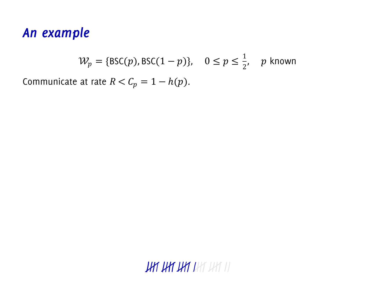#### *An example*

$$
\mathcal{W}_p = \{ \text{BSC}(p), \text{BSC}(1-p) \}, \quad 0 \le p \le \frac{1}{2}, \quad p \text{ known}
$$

Communicate at rate  $R < C_p = 1 - h(p)$ .

**JHT JHT JHT** JHT JHT II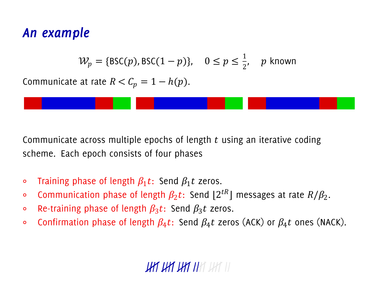#### *An example*

$$
\mathcal{W}_p = \{ \text{BSC}(p), \text{BSC}(1-p) \}, \quad 0 \le p \le \frac{1}{2}, \quad p \text{ known}
$$

Communicate at rate  $R < C_n = 1 - h(p)$ .



Communicate across multiple epochs of length  $t$  using an iterative coding scheme. Each epoch consists of four phases

- $\circ$  Training phase of length  $\beta_1 t$ : Send  $\beta_1 t$  zeros.
- $\circ$  Communication phase of length  $\beta_2 t$ : Send [2 $^{tR}$ ] messages at rate  $R/\beta_2.$
- $\circ$  Re-training phase of length  $\beta_3 t$ : Send  $\beta_3 t$  zeros.
- ∘ Confirmation phase of length  $\beta_4 t$ : Send  $\beta_4 t$  zeros (ACK) or  $\beta_4 t$  ones (NACK).

# THE THE THE THE THE III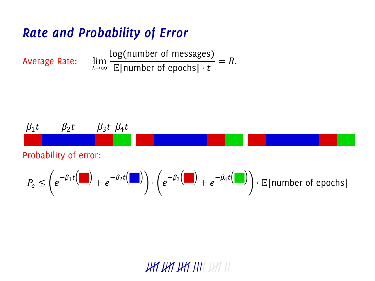# Rate and Probability of Error

Average Rate: 
$$
\lim_{t \to \infty} \frac{\log(\text{number of messages})}{\mathbb{E}[\text{number of epochs}] \cdot t} = R.
$$

$$
\beta_1 t \qquad \beta_2 t \qquad \beta_3 t \; \beta_4 t
$$

Probability of error:

$$
P_e \leq \left(e^{-\beta_1 t} \left(\frac{1}{\epsilon}\right) + e^{-\beta_2 t} \left(\frac{1}{\epsilon}\right)\right) \cdot \left(e^{-\beta_3 \left(\frac{1}{\epsilon}\right)} + e^{-\beta_4 t} \left(\frac{1}{\epsilon}\right)\right) \cdot \mathbb{E}[\text{number of epochs}]
$$

# **HAT HAT HAT HAT III**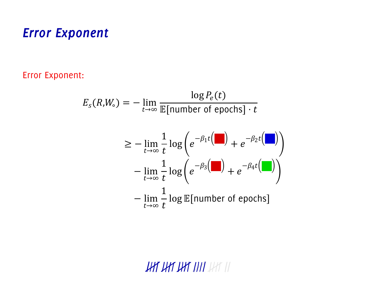#### **Error Exponent**

Error Exponent:

$$
E_s(R,W_\circ) = -\lim_{t \to \infty} \frac{\log P_e(t)}{\mathbb{E}[\text{number of epochs}] \cdot t}
$$

$$
\geq -\lim_{t \to \infty} \frac{1}{t} \log \left( e^{-\beta_1 t} \left( \frac{t}{t} \right) + e^{-\beta_2 t} \left( \frac{t}{t} \right) \right)
$$

$$
-\lim_{t \to \infty} \frac{1}{t} \log \left( e^{-\beta_3 \left( \frac{t}{t} \right)} + e^{-\beta_4 t} \left( \frac{t}{t} \right) \right)
$$

$$
-\lim_{t \to \infty} \frac{1}{t} \log \mathbb{E}[\text{number of epochs}]
$$

**HAT HAT HAT THAT III**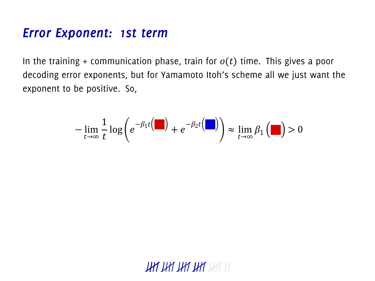#### *Error Exponent: 1st term*

In the training + communication phase, train for  $o(t)$  time. This gives a poor decoding error exponents, but for Yamamoto Itoh's scheme all we just want the exponent to be positive. So,

$$
-\lim_{t\to\infty}\frac{1}{t}\log\bigg(e^{-\beta_1t}\bigg(\blacksquare\bigg)+e^{-\beta_2t}\bigg(\blacksquare\bigg)\bigg)\approx\lim_{t\to\infty}\beta_1\bigg(\blacksquare\bigg)>0
$$

**JHT JHT JHT JHT** JHT II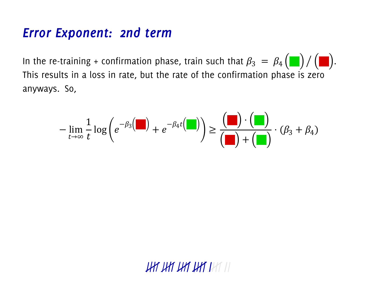#### **Error Exponent: 2nd term**

In the re-training + confirmation phase, train such that  $\beta_3 = \beta_4 (\blacksquare) / (\blacksquare)$ . This results in a loss in rate, but the rate of the confirmation phase is zero anyways. So,

$$
-\lim_{t\to\infty}\frac{1}{t}\log\bigg(e^{-\beta_3}\bigg(\blacksquare\bigg)+e^{-\beta_4t}\bigg(\blacksquare\bigg)\bigg)\geq\frac{\bigg(\blacksquare\bigg)\cdot\bigg(\blacksquare\bigg)}{\bigg(\blacksquare\bigg)+\bigg(\blacksquare\bigg)}\cdot(\beta_3+\beta_4)
$$

THE THE THE THE LIFE III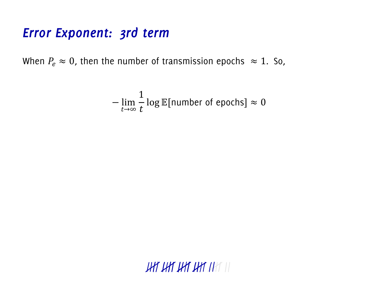#### *Error Exponent: 3rd term*

When  $P_e \approx 0$ , then the number of transmission epochs  $\approx 1$ . So,

$$
-\lim_{t\to\infty}\frac{1}{t}\log\mathbb{E}[\text{number of epochs}] \approx 0
$$

 $HHHHHHHH$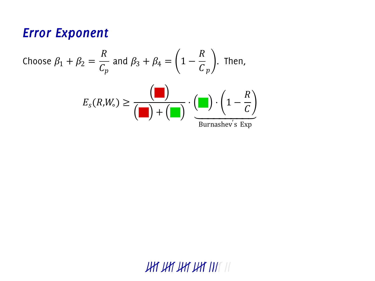#### **Error Exponent**

Choose 
$$
\beta_1 + \beta_2 = \frac{R}{C_p}
$$
 and  $\beta_3 + \beta_4 = \left(1 - \frac{R}{C_p}\right)$ . Then,  

$$
E_s(R,W_s) \ge \frac{\left(\square\right)}{\left(\square\right) + \left(\square\right)} \cdot \left(\square\right) \cdot \left(1 - \frac{R}{C}\right)
$$
  
Burnashev's Exp

**UHT UHT UHT UHT** III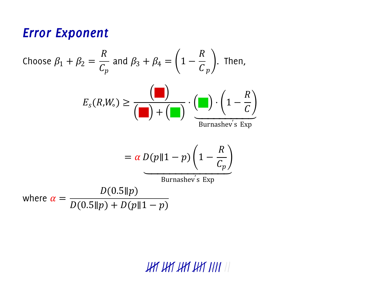#### **Error Exponent**

Choose 
$$
\beta_1 + \beta_2 = \frac{R}{C_p}
$$
 and  $\beta_3 + \beta_4 = \left(1 - \frac{R}{C_p}\right)$ . Then,  
\n
$$
E_s(R,W_s) \ge \frac{\left(\square\right)}{\left(\square\right) + \left(\square\right)} \cdot \frac{\left(\square\right) \cdot \left(1 - \frac{R}{C_p}\right)}{\text{Burnashev's Exp}}
$$
\n
$$
= \alpha D(p||1 - p) \left(1 - \frac{R}{C_p}\right)
$$
\nWhere  $\alpha = \frac{D(0.5||p)}{D(0.5||p) + D(p||1 - p)}$ 

HA HA HA HA HI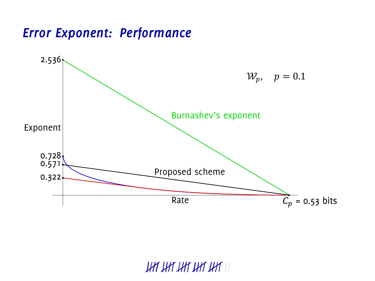#### *Error Exponent: Performance*

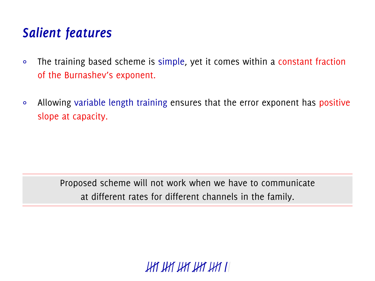# *Salient features*

- ∘ The training based scheme is simple, yet it comes within a constant fraction of the Burnashev's exponent.
- ∘ Allowing variable length training ensures that the error exponent has positive slope at capacity.

Proposed scheme will not work when we have to communicate at different rates for different channels in the family.

THE THE THE THE THE LI